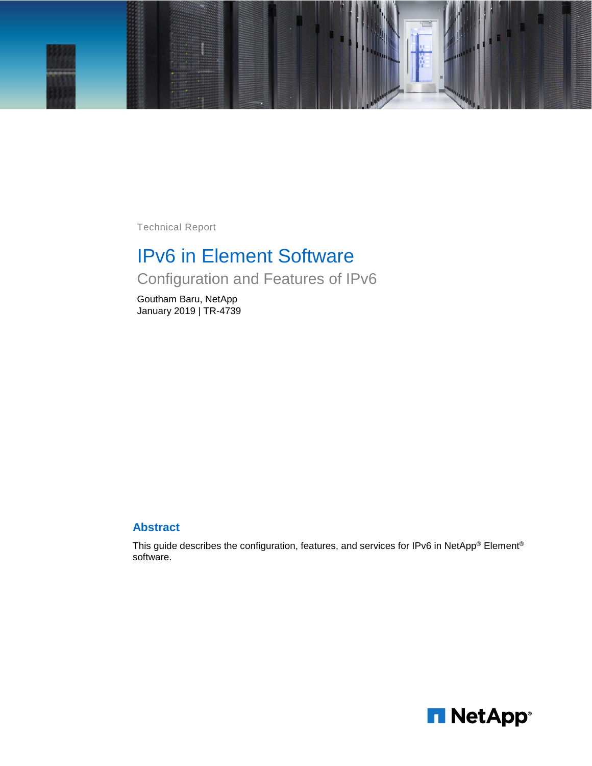

Technical Report

# IPv6 in Element Software

Configuration and Features of IPv6

Goutham Baru, NetApp January 2019 | TR-4739

#### **Abstract**

This guide describes the configuration, features, and services for IPv6 in NetApp® Element® software.

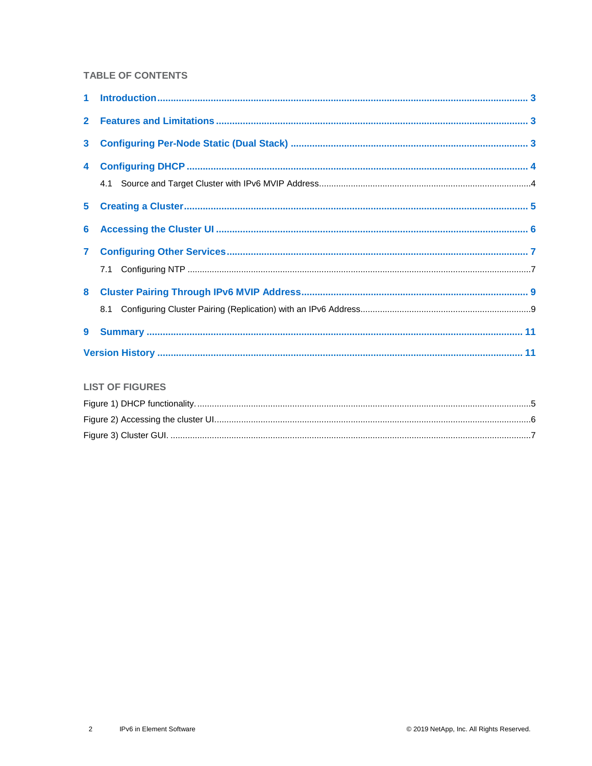#### **TABLE OF CONTENTS**

| 3 <sup>1</sup> |  |
|----------------|--|
|                |  |
|                |  |
|                |  |
|                |  |
|                |  |
|                |  |
|                |  |
|                |  |
|                |  |
|                |  |

#### **LIST OF FIGURES**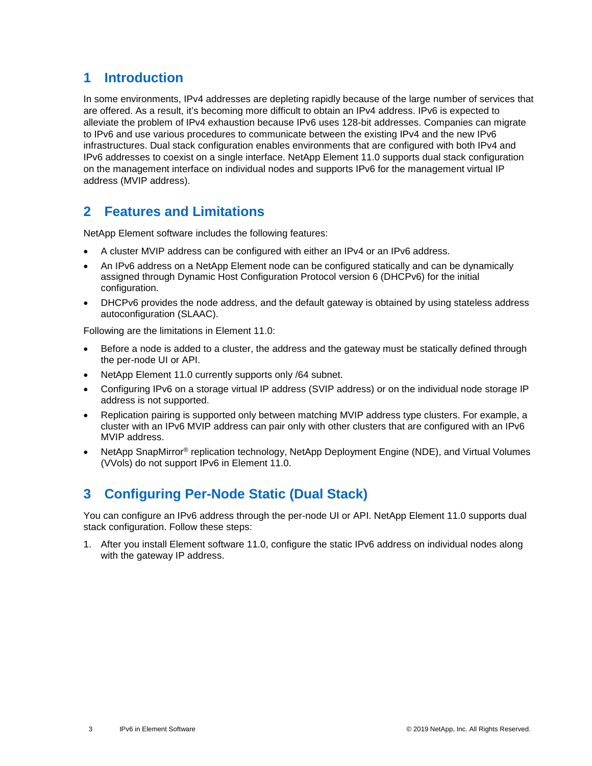### <span id="page-2-0"></span>**1 Introduction**

In some environments, IPv4 addresses are depleting rapidly because of the large number of services that are offered. As a result, it's becoming more difficult to obtain an IPv4 address. IPv6 is expected to alleviate the problem of IPv4 exhaustion because IPv6 uses 128-bit addresses. Companies can migrate to IPv6 and use various procedures to communicate between the existing IPv4 and the new IPv6 infrastructures. Dual stack configuration enables environments that are configured with both IPv4 and IPv6 addresses to coexist on a single interface. NetApp Element 11.0 supports dual stack configuration on the management interface on individual nodes and supports IPv6 for the management virtual IP address (MVIP address).

### <span id="page-2-1"></span>**2 Features and Limitations**

NetApp Element software includes the following features:

- A cluster MVIP address can be configured with either an IPv4 or an IPv6 address.
- An IPv6 address on a NetApp Element node can be configured statically and can be dynamically assigned through Dynamic Host Configuration Protocol version 6 (DHCPv6) for the initial configuration.
- DHCPv6 provides the node address, and the default gateway is obtained by using stateless address autoconfiguration (SLAAC).

Following are the limitations in Element 11.0:

- Before a node is added to a cluster, the address and the gateway must be statically defined through the per-node UI or API.
- NetApp Element 11.0 currently supports only /64 subnet.
- Configuring IPv6 on a storage virtual IP address (SVIP address) or on the individual node storage IP address is not supported.
- Replication pairing is supported only between matching MVIP address type clusters. For example, a cluster with an IPv6 MVIP address can pair only with other clusters that are configured with an IPv6 MVIP address.
- NetApp SnapMirror® replication technology, NetApp Deployment Engine (NDE), and Virtual Volumes (VVols) do not support IPv6 in Element 11.0.

### <span id="page-2-2"></span>**3 Configuring Per-Node Static (Dual Stack)**

You can configure an IPv6 address through the per-node UI or API. NetApp Element 11.0 supports dual stack configuration. Follow these steps:

1. After you install Element software 11.0, configure the static IPv6 address on individual nodes along with the gateway IP address.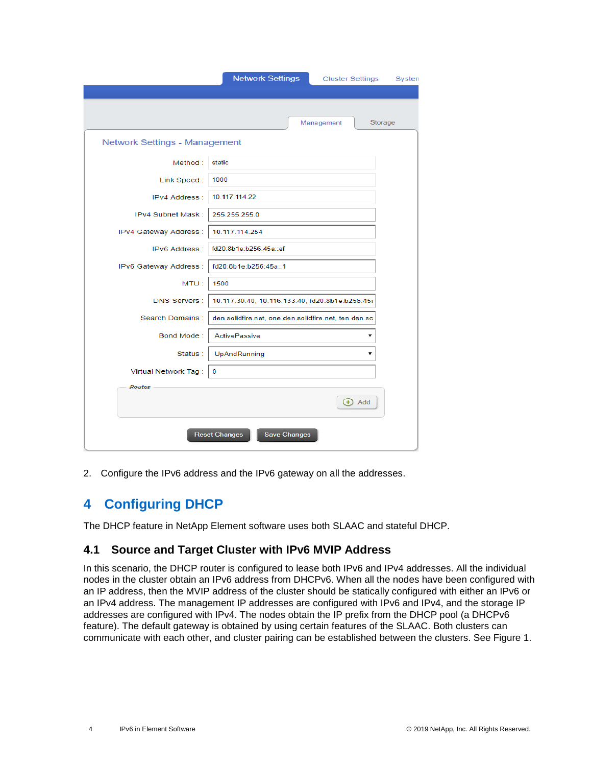|                                      | <b>Network Settings</b><br><b>Cluster Settings</b><br>Systen |
|--------------------------------------|--------------------------------------------------------------|
|                                      | Management<br>Storage                                        |
| <b>Network Settings - Management</b> |                                                              |
| Method:                              | static                                                       |
| Link Speed:                          | 1000                                                         |
| <b>IPv4 Address:</b>                 | 10.117.114.22                                                |
| IPv4 Subnet Mask:                    | 255.255.255.0                                                |
| IPv4 Gateway Address :               | 10.117.114.254                                               |
| <b>IPv6 Address:</b>                 | fd20:8b1e:b256:45a::ef                                       |
| IPv6 Gateway Address :               | fd20:8b1e:b256:45a::1                                        |
| MTU:                                 | 1500                                                         |
| <b>DNS Servers:</b>                  | 10.117.30.40, 10.116.133.40, fd20:8b1e:b256:45;              |
| Search Domains:                      | den.solidfire.net, one.den.solidfire.net, ten.den.so         |
| Bond Mode:                           | <b>ActivePassive</b>                                         |
| Status:                              | UpAndRunning                                                 |
| Virtual Network Tag:                 | 0                                                            |
| <b>Routes</b>                        |                                                              |
|                                      | $\bigoplus$ Add                                              |
|                                      | <b>Save Changes</b><br><b>Reset Changes</b>                  |

<span id="page-3-0"></span>2. Configure the IPv6 address and the IPv6 gateway on all the addresses.

### **4 Configuring DHCP**

The DHCP feature in NetApp Element software uses both SLAAC and stateful DHCP.

### <span id="page-3-1"></span>**4.1 Source and Target Cluster with IPv6 MVIP Address**

In this scenario, the DHCP router is configured to lease both IPv6 and IPv4 addresses. All the individual nodes in the cluster obtain an IPv6 address from DHCPv6. When all the nodes have been configured with an IP address, then the MVIP address of the cluster should be statically configured with either an IPv6 or an IPv4 address. The management IP addresses are configured with IPv6 and IPv4, and the storage IP addresses are configured with IPv4. The nodes obtain the IP prefix from the DHCP pool (a DHCPv6 feature). The default gateway is obtained by using certain features of the SLAAC. Both clusters can communicate with each other, and cluster pairing can be established between the clusters. See Figure 1.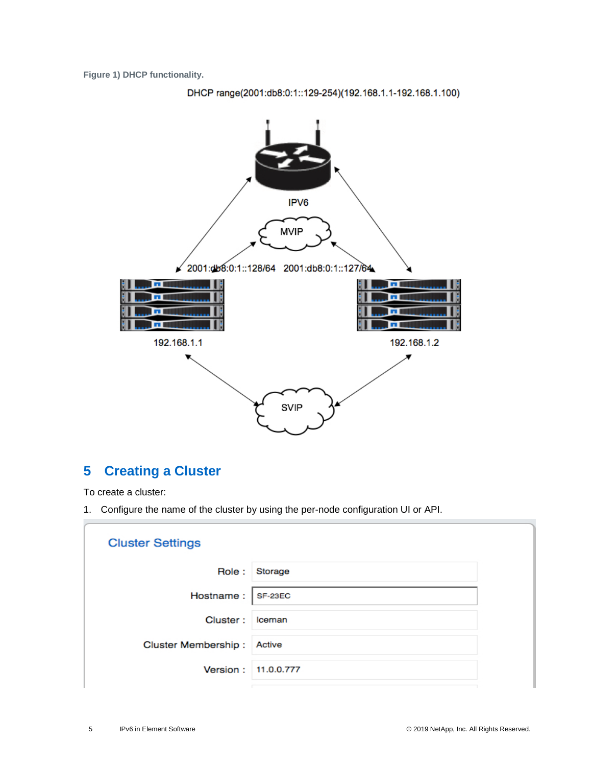<span id="page-4-1"></span>**Figure 1) DHCP functionality.**





## <span id="page-4-0"></span>**5 Creating a Cluster**

To create a cluster:

**A** 

1. Configure the name of the cluster by using the per-node configuration UI or API.

| <b>Cluster Settings</b> |            |
|-------------------------|------------|
| Role :                  | Storage    |
| Hostname:   SF-23EC     |            |
| Cluster:                | Iceman     |
| Cluster Membership:     | Active     |
| Version:                | 11.0.0.777 |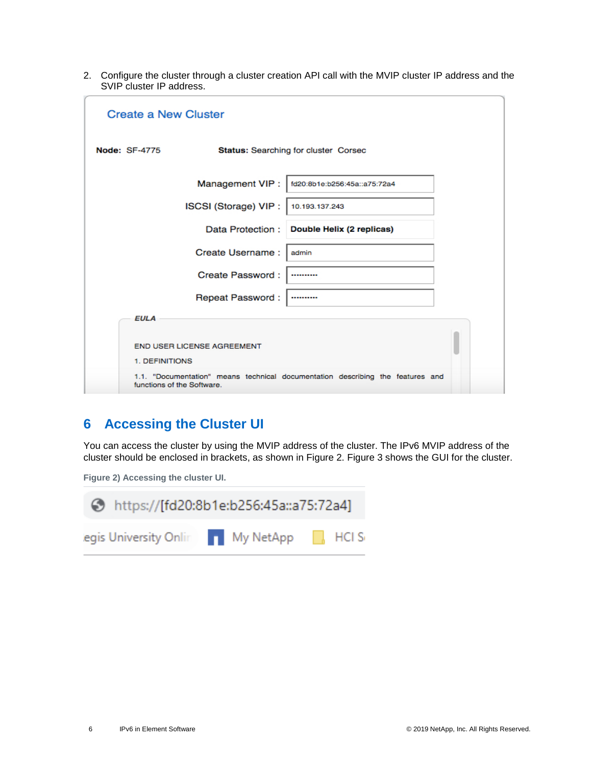2. Configure the cluster through a cluster creation API call with the MVIP cluster IP address and the SVIP cluster IP address.

| <b>Create a New Cluster</b> |                            |                                                                                |  |
|-----------------------------|----------------------------|--------------------------------------------------------------------------------|--|
| <b>Node: SF-4775</b>        |                            | Status: Searching for cluster Corsec                                           |  |
|                             | Management VIP:            | fd20:8b1e:b256:45a::a75:72a4                                                   |  |
|                             | ISCSI (Storage) VIP :      | 10.193.137.243                                                                 |  |
|                             |                            | Data Protection : Double Helix (2 replicas)                                    |  |
|                             | Create Username:           | admin                                                                          |  |
|                             | Create Password:           |                                                                                |  |
|                             | Repeat Password:           |                                                                                |  |
| <b>EULA</b>                 |                            |                                                                                |  |
| 1. DEFINITIONS              | END USER LICENSE AGREEMENT |                                                                                |  |
| functions of the Software.  |                            | 1.1. "Documentation" means technical documentation describing the features and |  |

### <span id="page-5-0"></span>**6 Accessing the Cluster UI**

You can access the cluster by using the MVIP address of the cluster. The IPv6 MVIP address of the cluster should be enclosed in brackets, as shown in [Figure](#page-5-1) 2. [Figure 3](#page-6-2) shows the GUI for the cluster.

<span id="page-5-1"></span>**Figure 2) Accessing the cluster UI.**

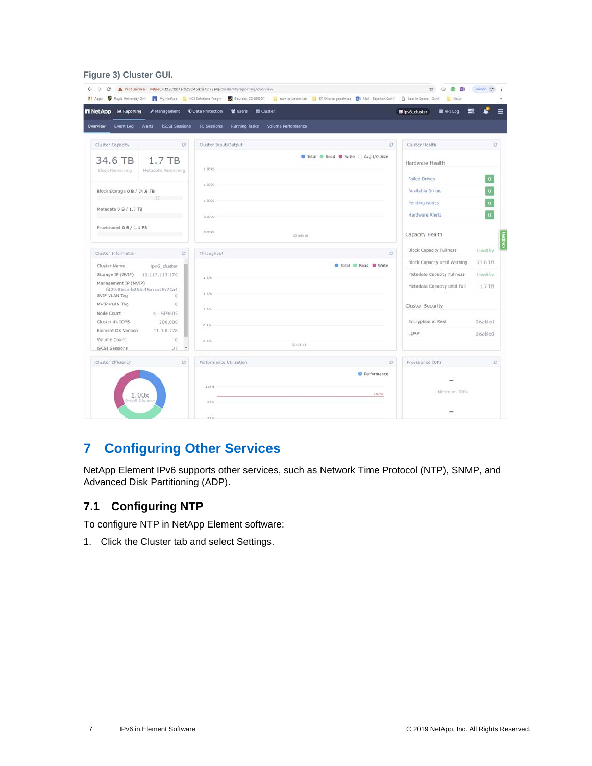#### <span id="page-6-2"></span>**Figure 3) Cluster GUI.**

| $F$ Management<br><b>n</b> NetApp<br>M Reporting                           | <b>U</b> Data Protection<br><b>E</b> Cluster<br><b>皆 Users</b> | 图 API Log<br>lipv6_cluster   |                         |
|----------------------------------------------------------------------------|----------------------------------------------------------------|------------------------------|-------------------------|
| <b>ISCSI Sessions</b><br>Overview<br>Event Log<br>Alerts                   | FC Sessions<br><b>Running Tasks</b><br>Volume Performance      |                              |                         |
| ø<br>Cluster Capacity                                                      | Cluster Input/Output<br>Ø.                                     | Cluster Health               | O                       |
| 34.6 TB<br>$1.7$ TB<br>Block Remaining<br>Metadata Remaining               | Total C Read C Write C Avg I/O Size<br>11095                   | Hardware Health              |                         |
|                                                                            | 11095                                                          | <b>Failed Drives</b>         | $\mathbf{0}$            |
| Block Storage 0 B / 34.6 TB                                                |                                                                | <b>Available Drives</b>      | $\mathbf 0$             |
| <b>SHE SHE SHE</b>                                                         | 11098                                                          | Pending Nodes                | $\overline{\mathbf{0}}$ |
| Metadata 0 B / 1.7 TB                                                      | 01095                                                          | Hardware Alerts              | $\mathbf{0}$            |
| Provisioned 0 B / 1.1 PB                                                   | 010PS<br>03:05:15                                              | Capacity Health              |                         |
| Cluster Information<br>ø                                                   | ø<br>Throughput                                                | Block Capacity Fullness      | Healthy                 |
| Cluster Name<br>ipv6_cluster                                               | <b>O</b> Total <b>D</b> Read <b>O</b> Write                    | Block Capacity until Warning | 23.8 TB                 |
| Storage IP (SVIP)<br>10.117.115.170                                        | 1.0/x                                                          | Metadata Capacity Fullness   | Healthy                 |
| Management IP (MVIP)<br>fd20:8b1e:b256:45a::a75:72a4<br>SVIP VLAN Tag<br>0 | $1.01$ s                                                       | Metadata Capacity until Full | 1.7 TB                  |
| MVIP VLAN Tag<br>0                                                         | 1.8/s                                                          | Cluster Security             |                         |
| Node Count<br>4 - SF9605<br>Cluster 4k IOPS<br>200,000                     |                                                                | Encryption at Rest           | Disabled                |
| Element OS Version<br>11.0.0.778                                           | 0.8/s                                                          | LDAP.                        | Disabled                |
| Volume Count<br>$^{\circ}$                                                 | 0.01x<br>03(05:15)                                             |                              |                         |
| <b>ISCSI Sessions</b><br>27.<br>$\overline{\phantom{a}}$                   |                                                                |                              |                         |
| $\mathbb{C}^*$<br>Cluster Efficiency                                       | Performance Utilization<br>ø.                                  | Provisioned IOPs             | $\circ$                 |
|                                                                            | Performance<br>119%                                            |                              |                         |
| 1.00x                                                                      | 100%                                                           | Minimum IOPs                 |                         |

## <span id="page-6-0"></span>**7 Configuring Other Services**

NetApp Element IPv6 supports other services, such as Network Time Protocol (NTP), SNMP, and Advanced Disk Partitioning (ADP).

### <span id="page-6-1"></span>**7.1 Configuring NTP**

To configure NTP in NetApp Element software:

1. Click the Cluster tab and select Settings.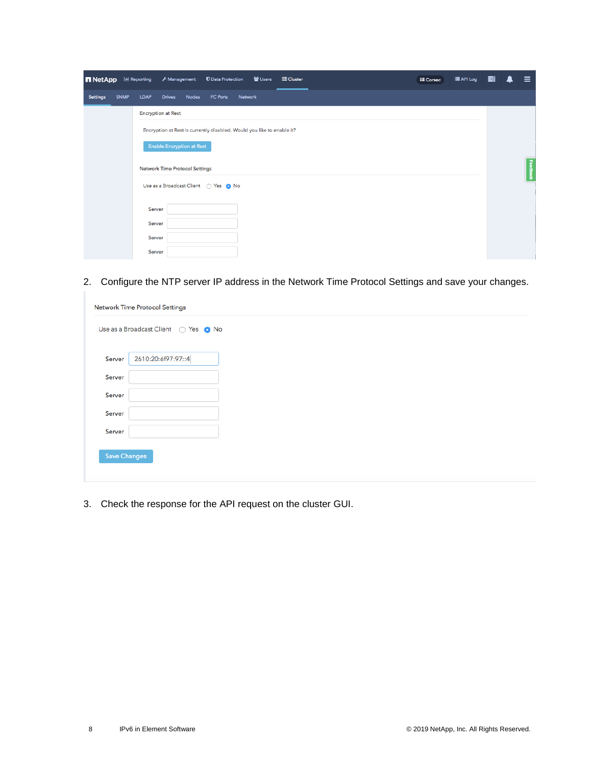| <b>n</b> NetApp |             | <b>ILL</b> Reporting | Management                            |              | <b>U</b> Data Protection                                               |         | 월 Users | <b>E</b> Cluster |  | <b>IE Corsec</b> | E API Log | 畺 | $\equiv$ |
|-----------------|-------------|----------------------|---------------------------------------|--------------|------------------------------------------------------------------------|---------|---------|------------------|--|------------------|-----------|---|----------|
| <b>Settings</b> | <b>SNMP</b> | <b>LDAP</b>          | <b>Drives</b>                         | <b>Nodes</b> | FC Ports                                                               | Network |         |                  |  |                  |           |   |          |
|                 |             |                      | <b>Encryption at Rest</b>             |              |                                                                        |         |         |                  |  |                  |           |   |          |
|                 |             |                      |                                       |              | Encryption at Rest is currently disabled. Would you like to enable it? |         |         |                  |  |                  |           |   |          |
|                 |             |                      | <b>Enable Encryption at Rest</b>      |              |                                                                        |         |         |                  |  |                  |           |   |          |
|                 |             |                      | <b>Network Time Protocol Settings</b> |              |                                                                        |         |         |                  |  |                  |           |   | Feedback |
|                 |             |                      |                                       |              |                                                                        |         |         |                  |  |                  |           |   |          |
|                 |             | Server               |                                       |              |                                                                        |         |         |                  |  |                  |           |   |          |
|                 |             | Server               |                                       |              |                                                                        |         |         |                  |  |                  |           |   |          |
|                 |             | Server               |                                       |              |                                                                        |         |         |                  |  |                  |           |   |          |
|                 |             | Server               |                                       |              |                                                                        |         |         |                  |  |                  |           |   |          |

2. Configure the NTP server IP address in the Network Time Protocol Settings and save your changes.

| 2610:20:6f97:97::4 |  |  |  |
|--------------------|--|--|--|
|                    |  |  |  |
|                    |  |  |  |
|                    |  |  |  |
|                    |  |  |  |
|                    |  |  |  |
|                    |  |  |  |

3. Check the response for the API request on the cluster GUI.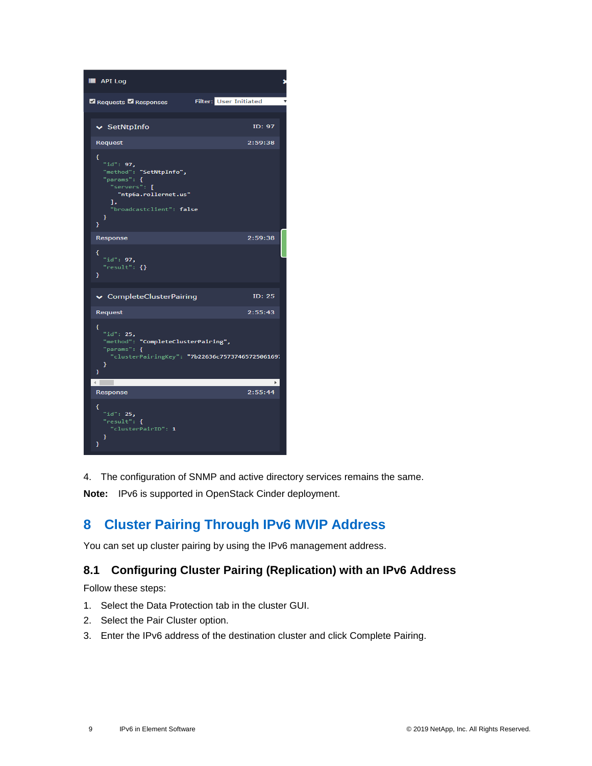

4. The configuration of SNMP and active directory services remains the same.

**Note:** IPv6 is supported in OpenStack Cinder deployment.

## <span id="page-8-0"></span>**8 Cluster Pairing Through IPv6 MVIP Address**

You can set up cluster pairing by using the IPv6 management address.

### <span id="page-8-1"></span>**8.1 Configuring Cluster Pairing (Replication) with an IPv6 Address**

Follow these steps:

- 1. Select the Data Protection tab in the cluster GUI.
- 2. Select the Pair Cluster option.
- 3. Enter the IPv6 address of the destination cluster and click Complete Pairing.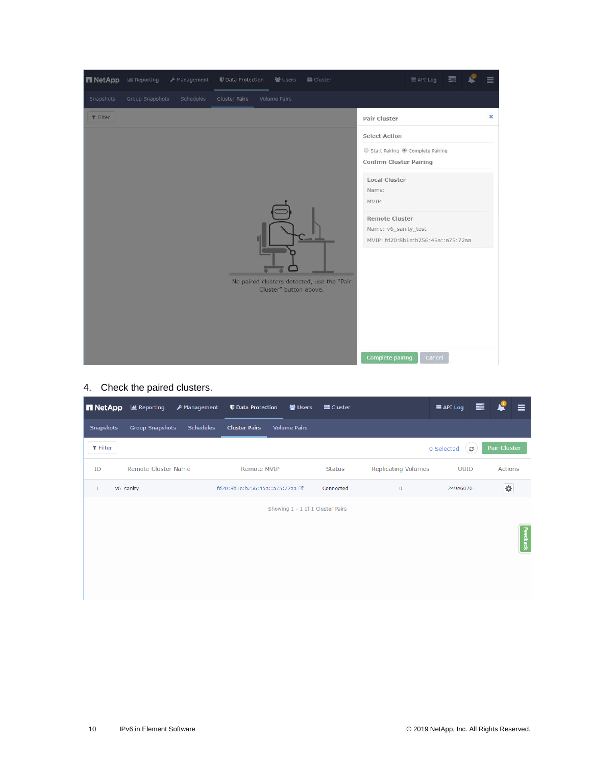

### 4. Check the paired clusters.

| <b>n</b> NetApp  | <b>III</b> Reporting   | F Management     | <b>U</b> Data Protection       | ₩ Users                          | 를 Cluster     |                            | <b>E</b> API Log | 喜 |              | $\equiv$ |
|------------------|------------------------|------------------|--------------------------------|----------------------------------|---------------|----------------------------|------------------|---|--------------|----------|
| <b>Snapshots</b> | <b>Group Snapshots</b> | <b>Schedules</b> | <b>Cluster Pairs</b>           | <b>Volume Pairs</b>              |               |                            |                  |   |              |          |
| $T$ Filter       |                        |                  |                                |                                  |               |                            | 0 Selected       | Ø | Pair Cluster |          |
| ID               | Remote Cluster Name    |                  | Remote MVIP                    |                                  | <b>Status</b> | <b>Replicating Volumes</b> | <b>UUID</b>      |   | Actions      |          |
| $\mathbf{1}$     | v6_sanity              |                  | fd20:8b1e:b256:45a::a75:72aa @ |                                  | Connected     | $\overline{0}$             | 249e6070         |   | ¢            |          |
|                  |                        |                  |                                | Showing 1 - 1 of 1 Cluster Pairs |               |                            |                  |   |              |          |
|                  |                        |                  |                                |                                  |               |                            |                  |   |              | Feedback |
|                  |                        |                  |                                |                                  |               |                            |                  |   |              |          |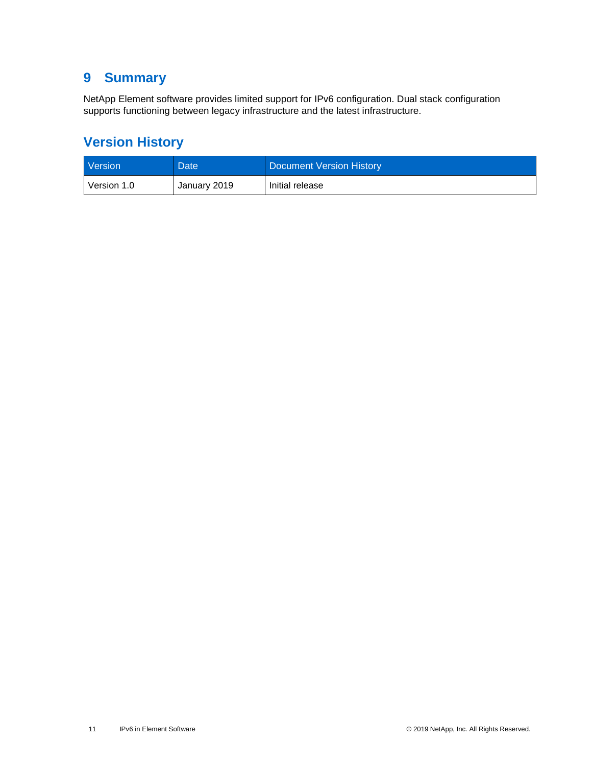### <span id="page-10-0"></span>**9 Summary**

NetApp Element software provides limited support for IPv6 configuration. Dual stack configuration supports functioning between legacy infrastructure and the latest infrastructure.

## <span id="page-10-1"></span>**Version History**

| <b>Version</b> | Date         | Document Version History |
|----------------|--------------|--------------------------|
| Version 1.0    | January 2019 | Initial release          |